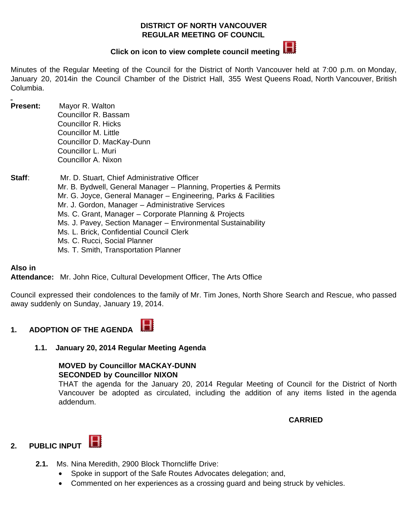#### **DISTRICT OF NORTH VANCOUVER REGULAR MEETING OF COUNCIL**



# **Clickon icon to view complete council meeting**

Minutes of the Regular Meeting of the Council for the District of North Vancouver held at 7:00 p.m. on Monday, January 20, 2014in the Council Chamber of the District Hall, 355 West Queens Road, North Vancouver, British Columbia.

**Present:** Mayor R. Walton Councillor R. Bassam Councillor R. Hicks Councillor M. Little Councillor D. MacKay-Dunn Councillor L. Muri Councillor A. Nixon

**Staff**: Mr. D. Stuart, Chief Administrative Officer Mr. B. Bydwell, General Manager – Planning, Properties & Permits Mr. G. Joyce, General Manager – Engineering, Parks & Facilities Mr. J. Gordon, Manager – Administrative Services Ms. C. Grant, Manager – Corporate Planning & Projects Ms. J. Pavey, Section Manager – Environmental Sustainability Ms. L. Brick, Confidential Council Clerk Ms. C. Rucci, Social Planner Ms. T. Smith, Transportation Planner

#### **Also in**

**Attendance:** Mr. John Rice, Cultural Development Officer, The Arts Office

Council expressed their condolences to the family of Mr. Tim Jones, North Shore Search and Rescue, who passed away suddenly on Sunday, January 19, 2014.

#### H **1. ADOPTION OF THE AGENDA**

#### **1.1. January 20, 2014 Regular Meeting Agenda**

#### **MOVED by Councillor MACKAY-DUNN SECONDED by Councillor NIXON**

THAT the agenda for the January 20, 2014 Regular Meeting of Council for the District of North Vancouver be adopted as circulated, including the addition of any items listed in the agenda addendum.

#### **CARRIED**

## **2. PUBLIC INPUT**

- **2.1.** Ms. Nina Meredith, 2900 Block Thorncliffe Drive:
	- · Spoke in support of the Safe Routes Advocates delegation; and,
	- · Commented on her experiences as a crossing guard and being struck by vehicles.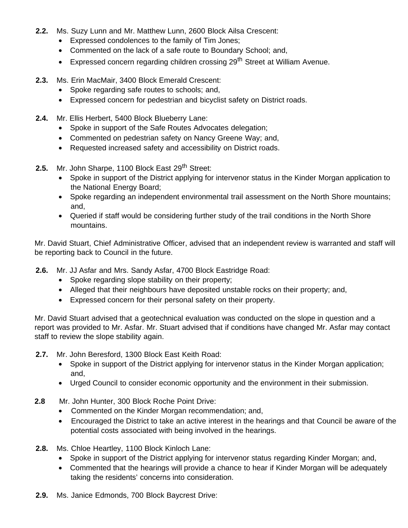- **2.2.** Ms. Suzy Lunn and Mr. Matthew Lunn, 2600 Block Ailsa Crescent:
	- · Expressed condolences to the family of Tim Jones;
	- · Commented on the lack of a safe route to Boundary School; and,
	- Expressed concern regarding children crossing  $29<sup>th</sup>$  Street at William Avenue.
- **2.3.** Ms. Erin MacMair, 3400 Block Emerald Crescent:
	- · Spoke regarding safe routes to schools; and,
	- · Expressed concern for pedestrian and bicyclist safety on District roads.
- **2.4.** Mr. Ellis Herbert, 5400 Block Blueberry Lane:
	- · Spoke in support of the Safe Routes Advocates delegation;
	- · Commented on pedestrian safety on Nancy Greene Way; and,
	- · Requested increased safety and accessibility on District roads.
- 2.5. Mr. John Sharpe, 1100 Block East 29<sup>th</sup> Street:
	- · Spoke in support of the District applying for intervenor status in the Kinder Morgan application to the National Energy Board;
	- · Spoke regarding an independent environmental trail assessment on the North Shore mountains; and,
	- · Queried if staff would be considering further study of the trail conditions in the North Shore mountains.

Mr. David Stuart, Chief Administrative Officer, advised that an independent review is warranted and staff will be reporting back to Council in the future.

- **2.6.** Mr. JJ Asfar and Mrs. Sandy Asfar, 4700 Block Eastridge Road:
	- · Spoke regarding slope stability on their property;
	- · Alleged that their neighbours have deposited unstable rocks on their property; and,
	- · Expressed concern for their personal safety on their property.

Mr. David Stuart advised that a geotechnical evaluation was conducted on the slope in question and a report was provided to Mr. Asfar. Mr. Stuart advised that if conditions have changed Mr. Asfar may contact staff to review the slope stability again.

- **2.7.** Mr. John Beresford, 1300 Block East Keith Road:
	- · Spoke in support of the District applying for intervenor status in the Kinder Morgan application; and,
	- · Urged Council to consider economic opportunity and the environment in their submission.
- **2.8** Mr. John Hunter, 300 Block Roche Point Drive:
	- · Commented on the Kinder Morgan recommendation; and,
	- · Encouraged the District to take an active interest in the hearings and that Council be aware of the potential costs associated with being involved in the hearings.
- **2.8.** Ms. Chloe Heartley, 1100 Block Kinloch Lane:
	- · Spoke in support of the District applying for intervenor status regarding Kinder Morgan; and,
	- · Commented that the hearings will provide a chance to hear if Kinder Morgan will be adequately taking the residents' concerns into consideration.
- **2.9.** Ms. Janice Edmonds, 700 Block Baycrest Drive: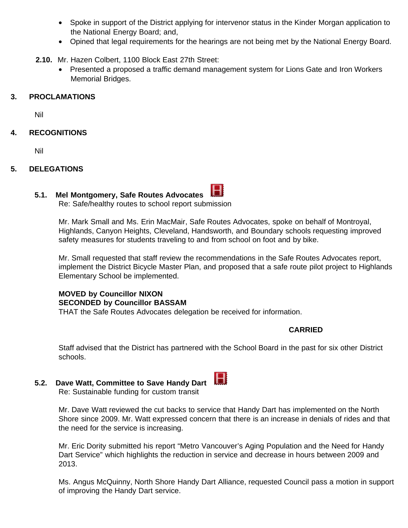- · Spoke in support of the District applying for intervenor status in the Kinder Morgan application to the National Energy Board; and,
- · Opined that legal requirements for the hearings are not being met by the National Energy Board.
- **2.10.** Mr. Hazen Colbert, 1100 Block East 27th Street:
	- · Presented a proposed a traffic demand management system for Lions Gate and Iron Workers Memorial Bridges.

#### **3. PROCLAMATIONS**

Nil

#### **4. RECOGNITIONS**

Nil

#### **5. DELEGATIONS**

#### **5.1. Mel Montgomery, Safe Routes Advocates**

Re: Safe/healthy routes to school report submission

Mr. Mark Small and Ms. Erin MacMair, Safe Routes Advocates, spoke on behalf of Montroyal, Highlands, Canyon Heights, Cleveland, Handsworth, and Boundary schools requesting improved safety measures for students traveling to and from school on foot and by bike.

Mr. Small requested that staff review the recommendations in the Safe Routes Advocates report, implement the District Bicycle Master Plan, and proposed that a safe route pilot project to Highlands Elementary School be implemented.

## **MOVED by Councillor NIXON SECONDED by Councillor BASSAM**

THAT the Safe Routes Advocates delegation be received for information.

#### **CARRIED**

Staff advised that the District has partnered with the School Board in the past for six other District schools.

## **5.2. Dave Watt, Committee to Save Handy Dart**



Mr. Dave Watt reviewed the cut backs to service that Handy Dart has implemented on the North Shore since 2009. Mr. Watt expressed concern that there is an increase in denials of rides and that the need for the service is increasing.

Mr. Eric Dority submitted his report "Metro Vancouver's Aging Population and the Need for Handy Dart Service" which highlights the reduction in service and decrease in hours between 2009 and 2013.

Ms. Angus McQuinny, North Shore Handy Dart Alliance, requested Council pass a motion in support of improving the Handy Dart service.



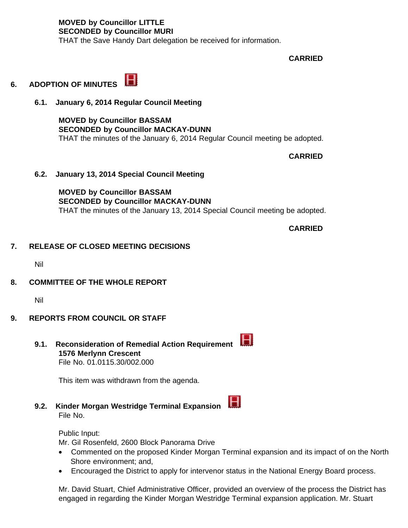**MOVED by Councillor LITTLE SECONDED by Councillor MURI** THAT the Save Handy Dart delegation be received for information.

 **CARRIED**

### **6. ADOPTION OF MINUTES**

**6.1. January 6, 2014 Regular Council Meeting** 

**MOVED by Councillor BASSAM SECONDED by Councillor MACKAY-DUNN** THAT the minutes of the January 6, 2014 Regular Council meeting be adopted.

 **CARRIED**

**6.2. January 13, 2014 Special Council Meeting** 

**MOVED by Councillor BASSAM SECONDED by Councillor MACKAY-DUNN** THAT the minutes of the January 13, 2014 Special Council meeting be adopted.

 **CARRIED**

#### **7. RELEASE OF CLOSED MEETING DECISIONS**

Nil

#### **8. COMMITTEE OF THE WHOLE REPORT**

Nil

- **9. REPORTS FROM COUNCIL OR STAFF**
	- **9.1. Reconsideration of Remedial Action Requirement 1576 Merlynn Crescent** File No. 01.0115.30/002.000

This item was withdrawn from the agenda.

 $\blacksquare$ **9.2. Kinder Morgan Westridge Terminal Expansion**  File No.

Public Input:

Mr. Gil Rosenfeld, 2600 Block Panorama Drive

- · Commented on the proposed Kinder Morgan Terminal expansion and its impact of on the North Shore environment; and,
- · Encouraged the District to apply for intervenor status in the National Energy Board process.

Mr. David Stuart, Chief Administrative Officer, provided an overview of the process the District has engaged in regarding the Kinder Morgan Westridge Terminal expansion application. Mr. Stuart



H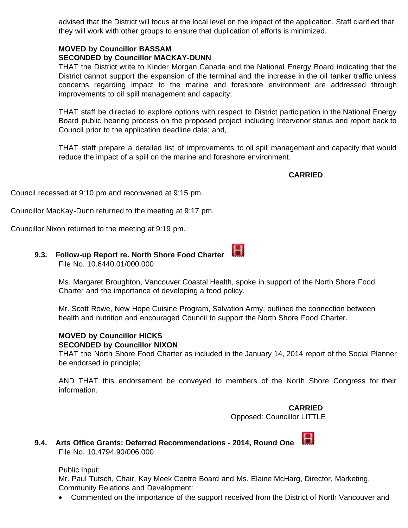advised that the District will focus at the local level on the impact of the application. Staff clarified that they will work with other groups to ensure that duplication of efforts is minimized.

#### **MOVED by Councillor BASSAM SECONDED by Councillor MACKAY-DUNN**

THAT the District write to Kinder Morgan Canada and the National Energy Board indicating that the District cannot support the expansion of the terminal and the increase in the oil tanker traffic unless concerns regarding impact to the marine and foreshore environment are addressed through improvements to oil spill management and capacity;

THAT staff be directed to explore options with respect to District participation in the National Energy Board public hearing process on the proposed project including Intervenor status and report back to Council prior to the application deadline date; and,

THAT staff prepare a detailed list of improvements to oil spill management and capacity that would reduce the impact of a spill on the marine and foreshore environment.

 **CARRIED**

Council recessed at 9:10 pm and reconvened at 9:15 pm.

Councillor MacKay-Dunn returned to the meeting at 9:17 pm.

Councillor Nixon returned to the meeting at 9:19 pm.

#### **9.3. Follow-up Report re. North Shore Food Charter**  File No. 10.6440.01/000.000

Ms. Margaret Broughton, Vancouver Coastal Health, spoke in support of the North Shore Food Charter and the importance of developing a food policy.

Mr. Scott Rowe, New Hope Cuisine Program, Salvation Army, outlined the connection between health and nutrition and encouraged Council to support the North Shore Food Charter.

#### **MOVED by Councillor HICKS SECONDED by Councillor NIXON**

THAT the North Shore Food Charter as included in the January 14, 2014 report of the Social Planner be endorsed in principle;

AND THAT this endorsement be conveyed to members of the North Shore Congress for their information.

#### **CARRIED**

Opposed: Councillor LITTLE



## **9.4. Arts Office Grants: Deferred Recommendations - 2014, Round One**  File No. 10.4794.90/006.000

#### Public Input:

Mr. Paul Tutsch, Chair, Kay Meek Centre Board and Ms. Elaine McHarg, Director, Marketing, Community Relations and Development:

· Commented on the importance of the support received from the District of North Vancouver and

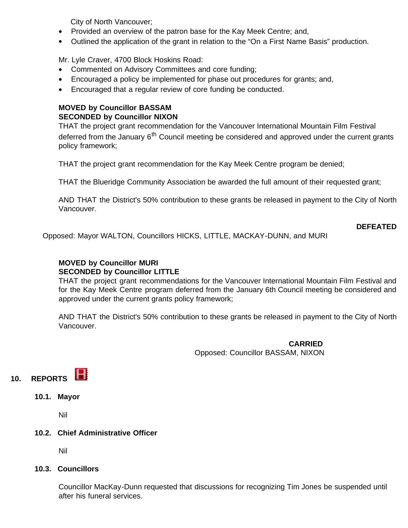City of North Vancouver;

- · Provided an overview of the patron base for the Kay Meek Centre; and,
- · Outlined the application of the grant in relation to the "On a First Name Basis" production.

Mr. Lyle Craver, 4700 Block Hoskins Road:

- · Commented on Advisory Committees and core funding;
- · Encouraged a policy be implemented for phase out procedures for grants; and,
- Encouraged that a regular review of core funding be conducted.

#### **MOVED by Councillor BASSAM SECONDED by Councillor NIXON**

THAT the project grant recommendation for the Vancouver International Mountain Film Festival deferred from the January 6<sup>th</sup> Council meeting be considered and approved under the current grants policy framework;

THAT the project grant recommendation for the Kay Meek Centre program be denied;

THAT the Blueridge Community Association be awarded the full amount of their requested grant;

AND THAT the District's 50% contribution to these grants be released in payment to the City of North Vancouver.

**DEFEATED**

Opposed: Mayor WALTON, Councillors HICKS, LITTLE, MACKAY-DUNN, and MURI

#### **MOVED by Councillor MURI SECONDED by Councillor LITTLE**

THAT the project grant recommendations for the Vancouver International Mountain Film Festival and for the Kay Meek Centre program deferred from the January 6th Council meeting be considered and approved under the current grants policy framework;

AND THAT the District's 50% contribution to these grants be released in payment to the City of North Vancouver.

 **CARRIED** Opposed: Councillor BASSAM, NIXON



**10.1. Mayor**

Nil

#### **10.2. Chief Administrative Officer**

Nil

#### **10.3. Councillors**

Councillor MacKay-Dunn requested that discussions for recognizing Tim Jones be suspended until after his funeral services.